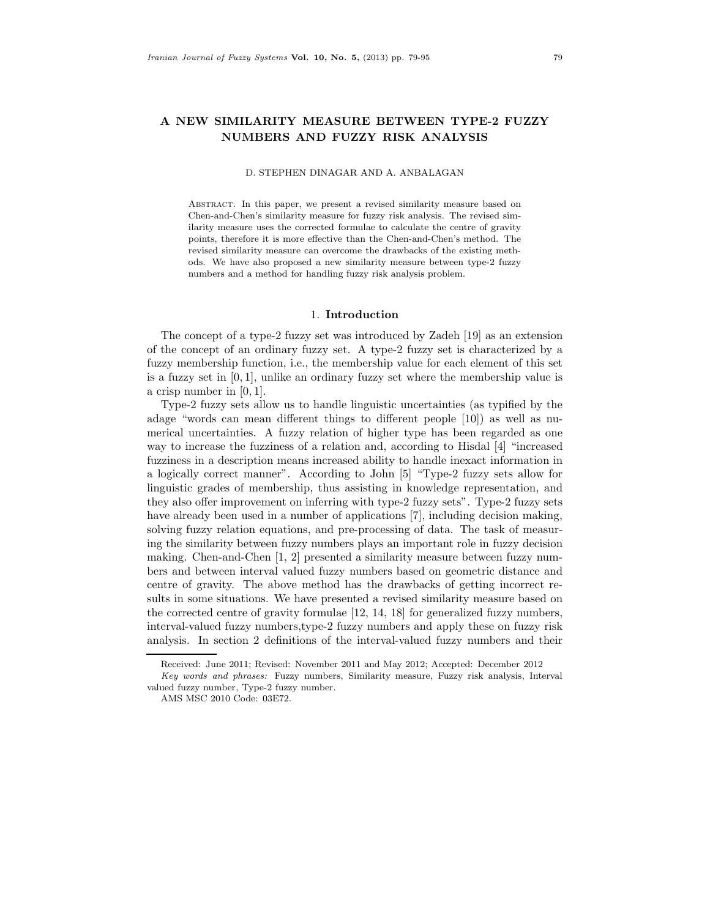# **A NEW SIMILARITY MEASURE BETWEEN TYPE-2 FUZZY NUMBERS AND FUZZY RISK ANALYSIS**

### D. STEPHEN DINAGAR AND A. ANBALAGAN

Abstract. In this paper, we present a revised similarity measure based on Chen-and-Chen's similarity measure for fuzzy risk analysis. The revised similarity measure uses the corrected formulae to calculate the centre of gravity points, therefore it is more effective than the Chen-and-Chen's method. The revised similarity measure can overcome the drawbacks of the existing methods. We have also proposed a new similarity measure between type-2 fuzzy numbers and a method for handling fuzzy risk analysis problem.

#### 1. **Introduction**

The concept of a type-2 fuzzy set was introduced by Zadeh [19] as an extension of the concept of an ordinary fuzzy set. A type-2 fuzzy set is characterized by a fuzzy membership function, i.e., the membership value for each element of this set is a fuzzy set in  $[0, 1]$ , unlike an ordinary fuzzy set where the membership value is a crisp number in [0, 1].

Type-2 fuzzy sets allow us to handle linguistic uncertainties (as typified by the adage "words can mean different things to different people [10]) as well as numerical uncertainties. A fuzzy relation of higher type has been regarded as one way to increase the fuzziness of a relation and, according to Hisdal [4] "increased fuzziness in a description means increased ability to handle inexact information in a logically correct manner". According to John [5] "Type-2 fuzzy sets allow for linguistic grades of membership, thus assisting in knowledge representation, and they also offer improvement on inferring with type-2 fuzzy sets". Type-2 fuzzy sets have already been used in a number of applications [7], including decision making, solving fuzzy relation equations, and pre-processing of data. The task of measuring the similarity between fuzzy numbers plays an important role in fuzzy decision making. Chen-and-Chen [1, 2] presented a similarity measure between fuzzy numbers and between interval valued fuzzy numbers based on geometric distance and centre of gravity. The above method has the drawbacks of getting incorrect results in some situations. We have presented a revised similarity measure based on the corrected centre of gravity formulae [12, 14, 18] for generalized fuzzy numbers, interval-valued fuzzy numbers,type-2 fuzzy numbers and apply these on fuzzy risk analysis. In section 2 definitions of the interval-valued fuzzy numbers and their

Received: June 2011; Revised: November 2011 and May 2012; Accepted: December 2012

Key words and phrases: Fuzzy numbers, Similarity measure, Fuzzy risk analysis, Interval valued fuzzy number, Type-2 fuzzy number.

AMS MSC 2010 Code: 03E72.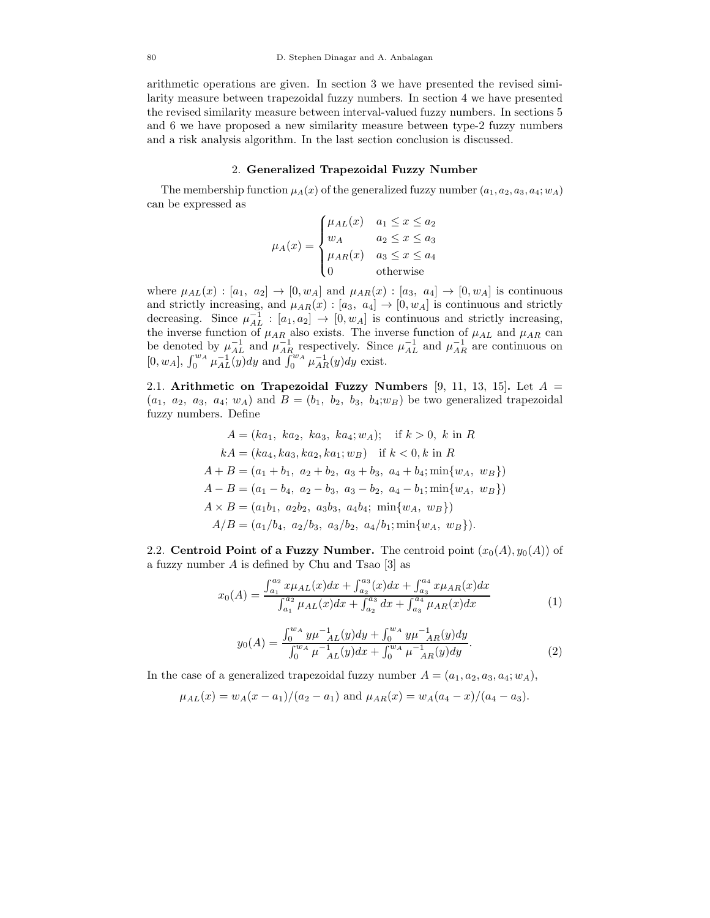arithmetic operations are given. In section 3 we have presented the revised similarity measure between trapezoidal fuzzy numbers. In section 4 we have presented the revised similarity measure between interval-valued fuzzy numbers. In sections 5 and 6 we have proposed a new similarity measure between type-2 fuzzy numbers and a risk analysis algorithm. In the last section conclusion is discussed.

#### 2. **Generalized Trapezoidal Fuzzy Number**

The membership function  $\mu_A(x)$  of the generalized fuzzy number  $(a_1, a_2, a_3, a_4; w_A)$ can be expressed as

$$
\mu_A(x) = \begin{cases} \mu_{AL}(x) & a_1 \leq x \leq a_2 \\ w_A & a_2 \leq x \leq a_3 \\ \mu_{AR}(x) & a_3 \leq x \leq a_4 \\ 0 & \text{otherwise} \end{cases}
$$

where  $\mu_{AL}(x) : [a_1, a_2] \rightarrow [0, w_A]$  and  $\mu_{AR}(x) : [a_3, a_4] \rightarrow [0, w_A]$  is continuous and strictly increasing, and  $\mu_{AR}(x) : [a_3, a_4] \to [0, w_A]$  is continuous and strictly decreasing. Since  $\mu_{AL}^{-1}$ :  $[a_1, a_2] \rightarrow [0, w_A]$  is continuous and strictly increasing, the inverse function of  $\mu_{AR}$  also exists. The inverse function of  $\mu_{AL}$  and  $\mu_{AR}$  can be denoted by  $\mu_{AL}^{-1}$  and  $\mu_{AR}^{-1}$  respectively. Since  $\mu_{AL}^{-1}$  and  $\mu_{AR}^{-1}$  are continuous on  $[0, w_A]$ ,  $\int_0^{w_A} \mu_{AL}^{-1}(y) dy$  and  $\int_0^{w_A} \mu_{AR}^{-1}(y) dy$  exist.

2.1. **Arithmetic on Trapezoidal Fuzzy Numbers** [9, 11, 13, 15]**.** Let A =  $(a_1, a_2, a_3, a_4; w_A)$  and  $B = (b_1, b_2, b_3, b_4; w_B)$  be two generalized trapezoidal fuzzy numbers. Define

$$
A = (ka_1, ka_2, ka_3, ka_4; w_A); \text{ if } k > 0, k \text{ in } R
$$
  
\n
$$
kA = (ka_4, ka_3, ka_2, ka_1; w_B) \text{ if } k < 0, k \text{ in } R
$$
  
\n
$$
A + B = (a_1 + b_1, a_2 + b_2, a_3 + b_3, a_4 + b_4; \min\{w_A, w_B\})
$$
  
\n
$$
A - B = (a_1 - b_4, a_2 - b_3, a_3 - b_2, a_4 - b_1; \min\{w_A, w_B\})
$$
  
\n
$$
A \times B = (a_1b_1, a_2b_2, a_3b_3, a_4b_4; \min\{w_A, w_B\})
$$
  
\n
$$
A/B = (a_1/b_4, a_2/b_3, a_3/b_2, a_4/b_1; \min\{w_A, w_B\}).
$$

2.2. **Centroid Point of a Fuzzy Number.** The centroid point  $(x_0(A), y_0(A))$  of a fuzzy number  $A$  is defined by Chu and Tsao  $|3|$  as

$$
x_0(A) = \frac{\int_{a_1}^{a_2} x \mu_{AL}(x) dx + \int_{a_2}^{a_3} (x) dx + \int_{a_3}^{a_4} x \mu_{AR}(x) dx}{\int_{a_1}^{a_2} \mu_{AL}(x) dx + \int_{a_2}^{a_3} dx + \int_{a_3}^{a_4} \mu_{AR}(x) dx}
$$
(1)

$$
y_0(A) = \frac{\int_0^{w_A} y \mu^{-1} (y) dy + \int_0^{w_A} y \mu^{-1} (y) dy}{\int_0^{w_A} \mu^{-1} (y) dx + \int_0^{w_A} \mu^{-1} (y) dy}.
$$
 (2)

In the case of a generalized trapezoidal fuzzy number  $A = (a_1, a_2, a_3, a_4; w_A)$ ,

$$
\mu_{AL}(x) = w_A(x - a_1)/(a_2 - a_1)
$$
 and  $\mu_{AR}(x) = w_A(a_4 - x)/(a_4 - a_3)$ .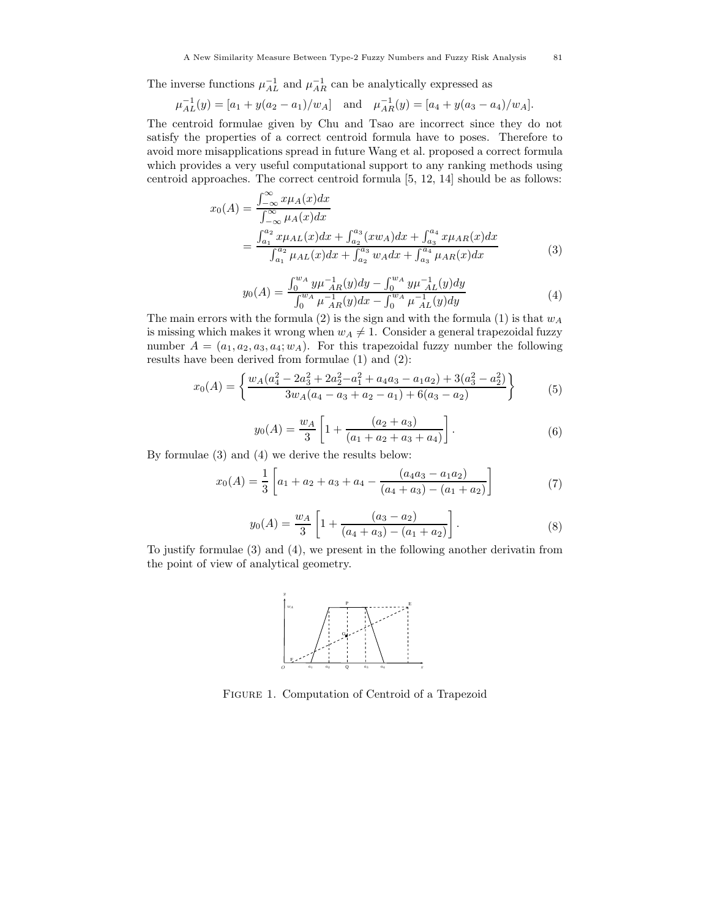The inverse functions  $\mu_{AL}^{-1}$  and  $\mu_{AR}^{-1}$  can be analytically expressed as

$$
\mu_{AL}^{-1}(y) = [a_1 + y(a_2 - a_1)/w_A]
$$
 and  $\mu_{AR}^{-1}(y) = [a_4 + y(a_3 - a_4)/w_A].$ 

The centroid formulae given by Chu and Tsao are incorrect since they do not satisfy the properties of a correct centroid formula have to poses. Therefore to avoid more misapplications spread in future Wang et al. proposed a correct formula which provides a very useful computational support to any ranking methods using centroid approaches. The correct centroid formula [5, 12, 14] should be as follows:

$$
x_0(A) = \frac{\int_{-\infty}^{\infty} x \mu_A(x) dx}{\int_{-\infty}^{\infty} \mu_A(x) dx}
$$
  
= 
$$
\frac{\int_{a_1}^{a_2} x \mu_{AL}(x) dx + \int_{a_2}^{a_3} (xw_A) dx + \int_{a_3}^{a_4} x \mu_{AR}(x) dx}{\int_{a_1}^{a_2} \mu_{AL}(x) dx + \int_{a_2}^{a_3} w_A dx + \int_{a_3}^{a_4} \mu_{AR}(x) dx}
$$
(3)

$$
y_0(A) = \frac{\int_0^{w_A} y \mu_{AR}^{-1}(y) dy - \int_0^{w_A} y \mu_{AL}^{-1}(y) dy}{\int_0^{w_A} \mu_{AR}^{-1}(y) dx - \int_0^{w_A} \mu_{AL}^{-1}(y) dy}
$$
(4)

The main errors with the formula (2) is the sign and with the formula (1) is that  $w_A$ is missing which makes it wrong when  $w_A \neq 1$ . Consider a general trapezoidal fuzzy number  $A = (a_1, a_2, a_3, a_4; w_A)$ . For this trapezoidal fuzzy number the following results have been derived from formulae (1) and (2):

$$
x_0(A) = \left\{ \frac{w_A(a_4^2 - 2a_3^2 + 2a_2^2 - a_1^2 + a_4a_3 - a_1a_2) + 3(a_3^2 - a_2^2)}{3w_A(a_4 - a_3 + a_2 - a_1) + 6(a_3 - a_2)} \right\}
$$
(5)

$$
y_0(A) = \frac{w_A}{3} \left[ 1 + \frac{(a_2 + a_3)}{(a_1 + a_2 + a_3 + a_4)} \right].
$$
 (6)

By formulae (3) and (4) we derive the results below:

$$
x_0(A) = \frac{1}{3} \left[ a_1 + a_2 + a_3 + a_4 - \frac{(a_4 a_3 - a_1 a_2)}{(a_4 + a_3) - (a_1 + a_2)} \right]
$$
(7)

$$
y_0(A) = \frac{w_A}{3} \left[ 1 + \frac{(a_3 - a_2)}{(a_4 + a_3) - (a_1 + a_2)} \right].
$$
 (8)

To justify formulae (3) and (4), we present in the following another derivatin from the point of view of analytical geometry.



Figure 1. Computation of Centroid of a Trapezoid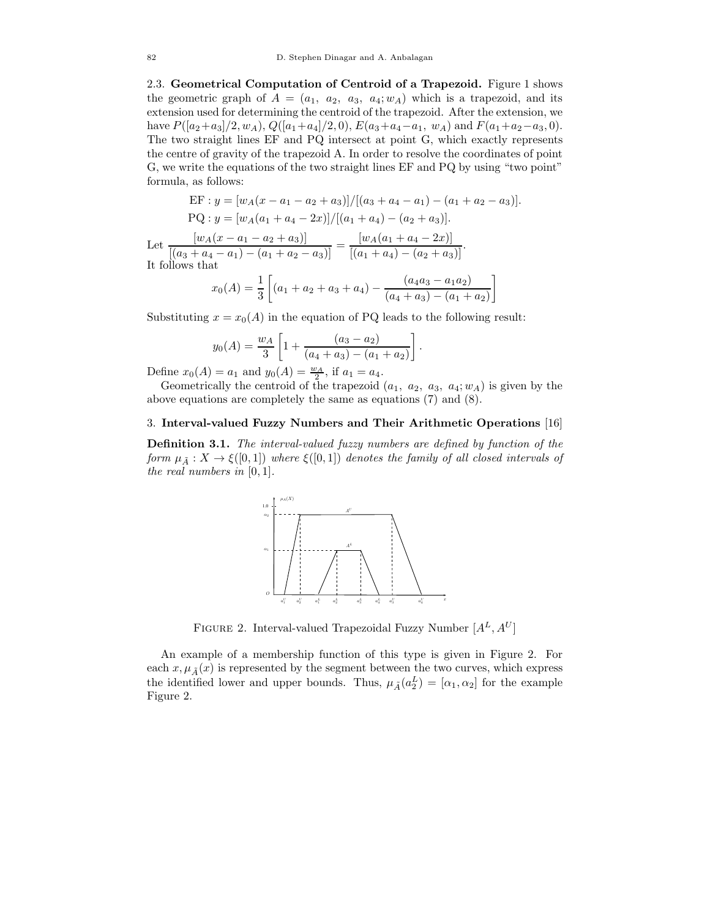2.3. **Geometrical Computation of Centroid of a Trapezoid.** Figure 1 shows the geometric graph of  $A = (a_1, a_2, a_3, a_4; w_A)$  which is a trapezoid, and its extension used for determining the centroid of the trapezoid. After the extension, we have  $P([a_2+a_3]/2, w_A)$ ,  $Q([a_1+a_4]/2, 0)$ ,  $E(a_3+a_4-a_1, w_A)$  and  $F(a_1+a_2-a_3, 0)$ . The two straight lines EF and PQ intersect at point G, which exactly represents the centre of gravity of the trapezoid A. In order to resolve the coordinates of point G, we write the equations of the two straight lines EF and PQ by using "two point" formula, as follows:

$$
\text{EF} : y = [w_A(x - a_1 - a_2 + a_3)] / [(a_3 + a_4 - a_1) - (a_1 + a_2 - a_3)].
$$
\n
$$
\text{PQ} : y = [w_A(a_1 + a_4 - 2x)] / [(a_1 + a_4) - (a_2 + a_3)].
$$
\n
$$
\text{Let } \frac{[w_A(x - a_1 - a_2 + a_3)]}{[(a_3 + a_4 - a_1) - (a_1 + a_2 - a_3)]} = \frac{[w_A(a_1 + a_4 - 2x)]}{[(a_1 + a_4) - (a_2 + a_3)]}.
$$
\n
$$
\text{It follows that}
$$
\n
$$
(4)
$$
\n
$$
\text{If } \frac{[w_A(a_1 + a_4) - (a_2 + a_3)]}{[(a_4a_3 - a_1a_2)]} = \frac{[w_A(a_1 + a_4) - (a_2 + a_3)]}{[(a_4a_3 - a_1a_2)]}
$$

$$
x_0(A) = \frac{1}{3} \left[ (a_1 + a_2 + a_3 + a_4) - \frac{(a_4 a_3 - a_1 a_2)}{(a_4 + a_3) - (a_1 + a_2)} \right]
$$

Substituting  $x = x_0(A)$  in the equation of PQ leads to the following result:

$$
y_0(A) = \frac{w_A}{3} \left[ 1 + \frac{(a_3 - a_2)}{(a_4 + a_3) - (a_1 + a_2)} \right].
$$

Define  $x_0(A) = a_1$  and  $y_0(A) = \frac{w_A}{2}$ , if  $a_1 = a_4$ .

Geometrically the centroid of the trapezoid  $(a_1, a_2, a_3, a_4; w_A)$  is given by the above equations are completely the same as equations (7) and (8).

#### 3. **Interval-valued Fuzzy Numbers and Their Arithmetic Operations** [16]

**Definition 3.1.** *The interval-valued fuzzy numbers are defined by function of the form*  $\mu_{\tilde{A}} : X \to \xi([0,1])$  *where*  $\xi([0,1])$  *denotes the family of all closed intervals of the real numbers in* [0, 1]*.*



FIGURE 2. Interval-valued Trapezoidal Fuzzy Number  $[A<sup>L</sup>, A<sup>U</sup>]$ 

An example of a membership function of this type is given in Figure 2. For each  $x, \mu_{\tilde{A}}(x)$  is represented by the segment between the two curves, which express the identified lower and upper bounds. Thus,  $\mu_{\tilde{A}}(a_2^L) = [\alpha_1, \alpha_2]$  for the example Figure 2.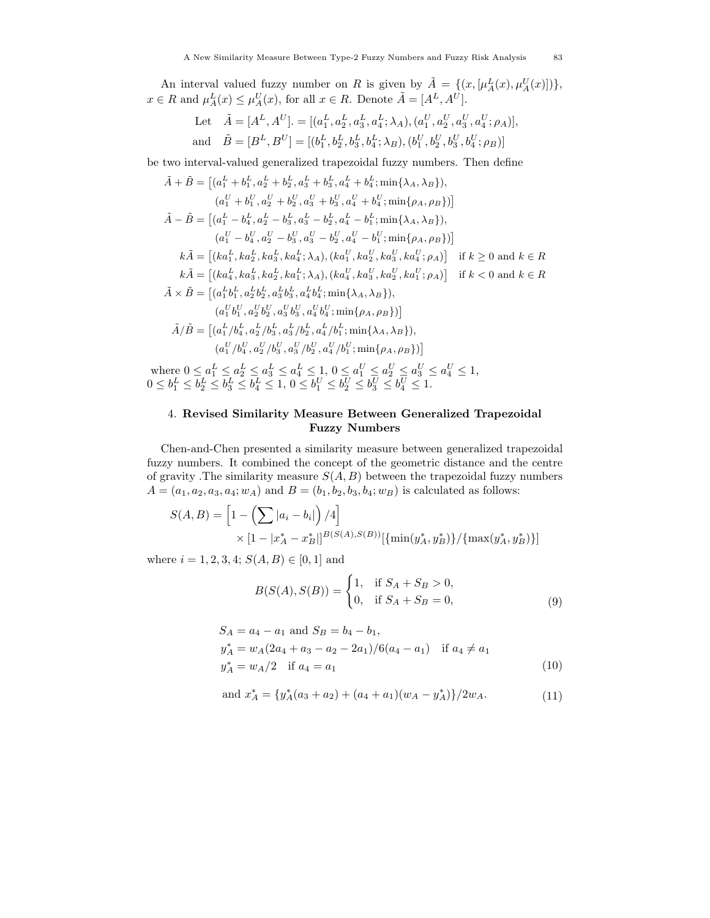An interval valued fuzzy number on R is given by  $\tilde{A} = \{(x, [\mu_A^L(x), \mu_A^U(x)])\},\$  $x \in R$  and  $\mu_A^L(x) \leq \mu_A^U(x)$ , for all  $x \in R$ . Denote  $\tilde{A} = [A^L, A^U]$ .

Let 
$$
\tilde{A} = [A^L, A^U] = [(a_1^L, a_2^L, a_3^L, a_4^L; \lambda_A), (a_1^U, a_2^U, a_3^U, a_4^U; \rho_A)],
$$
  
and  $\tilde{B} = [B^L, B^U] = [(b_1^L, b_2^L, b_3^L, b_4^L; \lambda_B), (b_1^U, b_2^U, b_3^U, b_4^U; \rho_B)]$ 

be two interval-valued generalized trapezoidal fuzzy numbers. Then define

$$
\tilde{A} + \tilde{B} = \left[ (a_1^L + b_1^L, a_2^L + b_2^L, a_3^L + b_3^L, a_4^L + b_4^L; \min\{\lambda_A, \lambda_B\}),
$$
\n
$$
(a_1^U + b_1^U, a_2^U + b_2^U, a_3^U + b_3^U, a_4^U + b_4^U; \min\{\rho_A, \rho_B\}\right]
$$
\n
$$
\tilde{A} - \tilde{B} = \left[ (a_1^L - b_4^L, a_2^L - b_3^L, a_3^L - b_2^L, a_4^L - b_1^L; \min\{\lambda_A, \lambda_B\}),
$$
\n
$$
(a_1^U - b_4^U, a_2^U - b_3^U, a_3^U - b_2^U, a_4^U - b_1^U; \min\{\rho_A, \rho_B\}\right]
$$
\n
$$
k\tilde{A} = \left[ (ka_1^L, ka_2^L, ka_3^L, ka_4^L; \lambda_A), (ka_1^U, ka_2^U, ka_3^U, ka_4^U; \rho_A) \right] \text{ if } k \ge 0 \text{ and } k \in R
$$
\n
$$
k\tilde{A} = \left[ (ka_4^L, ka_3^L, ka_2^L, ka_1^L; \lambda_A), (ka_4^U, ka_3^U, ka_3^U, ka_4^U; \rho_A) \right] \text{ if } k < 0 \text{ and } k \in R
$$
\n
$$
\tilde{A} \times \tilde{B} = \left[ (a_1^L b_1^L, a_2^L b_2^L, a_3^L b_3^L, a_4^L b_4^L; \min\{\lambda_A, \lambda_B\}),
$$
\n
$$
(a_1^U b_1^U, a_2^U b_2^U, a_3^U b_3^U, a_4^U b_4^U; \min\{\rho_A, \rho_B\}) \right]
$$
\n
$$
\tilde{A}/\tilde{B} = \left[ (a_1^L / b_4^L, a_2^L / b_3^L, a_3^L / b_2^L, a_4^L / b_1^L; \min\{\lambda_A, \lambda_B\}),
$$
\n
$$
(a_1^
$$

where  $0 \le a_1^L \le a_2^L \le a_3^L \le a_4^L \le 1, 0 \le a_1^U \le a_2^U \le a_3^U \le a_4^U \le 1$ ,  $0 \leq b_1^L \leq b_2^L \leq b_3^L \leq b_4^L \leq 1, \, 0 \leq b_1^U \leq b_2^U \leq b_3^U \leq b_4^U \leq 1.$ 

# 4. **Revised Similarity Measure Between Generalized Trapezoidal Fuzzy Numbers**

Chen-and-Chen presented a similarity measure between generalized trapezoidal fuzzy numbers. It combined the concept of the geometric distance and the centre of gravity .<br>The similarity measure  ${\cal S}(A,B)$  between the trapezoidal fuzzy numbers  $A = (a_1, a_2, a_3, a_4; w_A)$  and  $B = (b_1, b_2, b_3, b_4; w_B)$  is calculated as follows:

$$
S(A, B) = \left[1 - \left(\sum |a_i - b_i|\right) / 4\right] \times \left[1 - |x_A^* - x_B^*|\right]^{B(S(A), S(B))} \left[\{\min(y_A^*, y_B^*)\}/\{\max(y_A^*, y_B^*)\}\right]
$$

where  $i = 1, 2, 3, 4; S(A, B) \in [0, 1]$  and

$$
B(S(A), S(B)) = \begin{cases} 1, & \text{if } S_A + S_B > 0, \\ 0, & \text{if } S_A + S_B = 0, \end{cases}
$$
 (9)

$$
S_A = a_4 - a_1 \text{ and } S_B = b_4 - b_1,
$$
  
\n
$$
y_A^* = w_A(2a_4 + a_3 - a_2 - 2a_1)/6(a_4 - a_1) \text{ if } a_4 \neq a_1
$$
  
\n
$$
y_A^* = w_A/2 \text{ if } a_4 = a_1
$$
\n(10)

and 
$$
x_A^* = \{y_A^*(a_3 + a_2) + (a_4 + a_1)(w_A - y_A^*)\}/2w_A.
$$
 (11)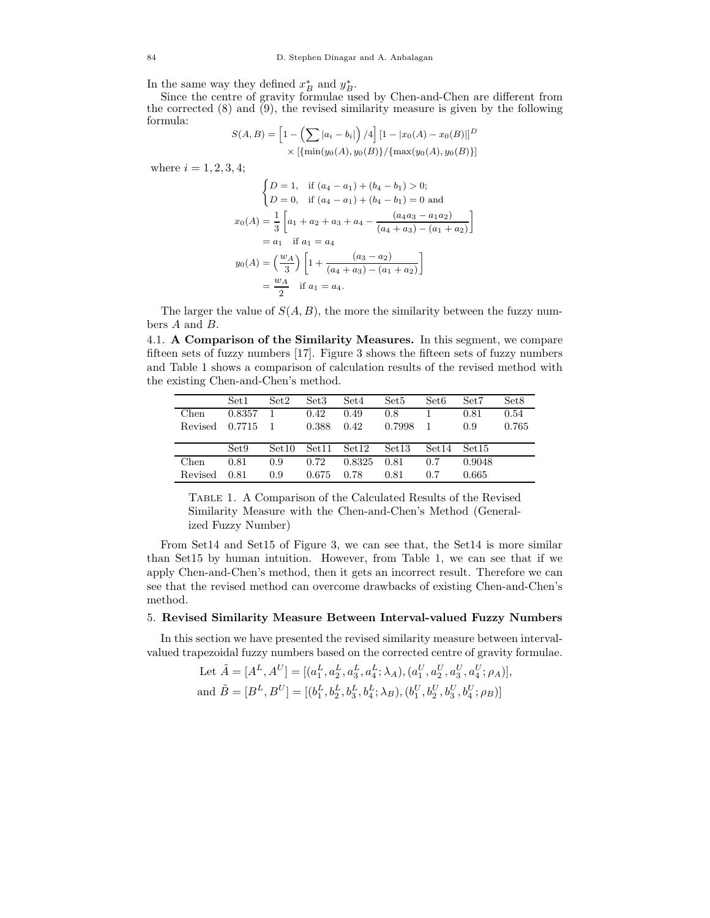In the same way they defined  $x^*_{B}$  and  $y^*_{B}$ .

Since the centre of gravity formulae used by Chen-and-Chen are different from the corrected (8) and (9), the revised similarity measure is given by the following formula: 

$$
S(A, B) = \left[1 - \left(\sum |a_i - b_i|\right) / 4\right] \left[1 - |x_0(A) - x_0(B)|\right]^D
$$
  
 
$$
\times \left[\{\min(y_0(A), y_0(B)\} / \{\max(y_0(A), y_0(B)\}\right]
$$

where  $i = 1, 2, 3, 4;$ 

$$
\begin{aligned}\n\begin{cases}\nD &= 1, & \text{if } (a_4 - a_1) + (b_4 - b_1) > 0; \\
D &= 0, & \text{if } (a_4 - a_1) + (b_4 - b_1) = 0 \text{ and} \\
x_0(A) &= \frac{1}{3} \left[ a_1 + a_2 + a_3 + a_4 - \frac{(a_4 a_3 - a_1 a_2)}{(a_4 + a_3) - (a_1 + a_2)} \right] \\
&= a_1 \quad \text{if } a_1 = a_4 \\
y_0(A) &= \left( \frac{w_A}{3} \right) \left[ 1 + \frac{(a_3 - a_2)}{(a_4 + a_3) - (a_1 + a_2)} \right] \\
&= \frac{w_A}{2} \quad \text{if } a_1 = a_4.\n\end{aligned}
$$

The larger the value of  $S(A, B)$ , the more the similarity between the fuzzy numbers A and B.

4.1. **A Comparison of the Similarity Measures.** In this segment, we compare fifteen sets of fuzzy numbers [17]. Figure 3 shows the fifteen sets of fuzzy numbers and Table 1 shows a comparison of calculation results of the revised method with the existing Chen-and-Chen's method.

|         | Set <sub>1</sub> | Set2              | Set <sub>3</sub> | Set4   | Set <sub>5</sub>  | Set <sub>6</sub>  | Set7              | Set8  |
|---------|------------------|-------------------|------------------|--------|-------------------|-------------------|-------------------|-------|
| Chen    | 0.8357           |                   | 0.42             | 0.49   | 0.8               |                   | 0.81              | 0.54  |
| Revised | 0.7715           |                   | 0.388            | 0.42   | 0.7998            |                   | 0.9               | 0.765 |
|         |                  |                   |                  |        |                   |                   |                   |       |
|         | Set9             | Set <sub>10</sub> | Set11            | Set12  | Set <sub>13</sub> | Set <sub>14</sub> | Set <sub>15</sub> |       |
| Chen    | 0.81             | 0.9               | 0.72             | 0.8325 | 0.81              | 0.7               | 0.9048            |       |
| Revised | 0.81             | 0.9               | 0.675            | 0.78   | 0.81              | 0.7               | 0.665             |       |

Table 1. A Comparison of the Calculated Results of the Revised Similarity Measure with the Chen-and-Chen's Method (Generalized Fuzzy Number)

From Set14 and Set15 of Figure 3, we can see that, the Set14 is more similar than Set15 by human intuition. However, from Table 1, we can see that if we apply Chen-and-Chen's method, then it gets an incorrect result. Therefore we can see that the revised method can overcome drawbacks of existing Chen-and-Chen's method.

#### 5. **Revised Similarity Measure Between Interval-valued Fuzzy Numbers**

In this section we have presented the revised similarity measure between intervalvalued trapezoidal fuzzy numbers based on the corrected centre of gravity formulae.

> Let  $\tilde{A} = [A^L, A^U] = [(a_1^L, a_2^L, a_3^L, a_4^L; \lambda_A), (a_1^U, a_2^U, a_3^U, a_4^U; \rho_A)],$ and  $\tilde{B} = [B^L, B^U] = [(b_1^L, b_2^L, b_3^L, b_4^L; \lambda_B), (b_1^U, b_2^U, b_3^U, b_4^U; \rho_B)]$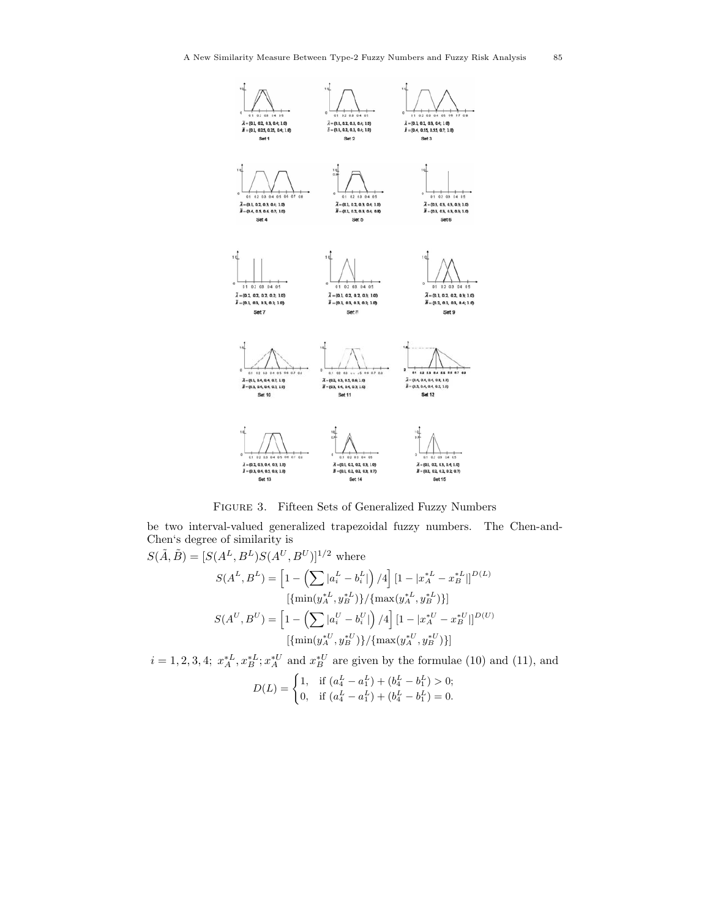

Figure 3. Fifteen Sets of Generalized Fuzzy Numbers

be two interval-valued generalized trapezoidal fuzzy numbers. The Chen-and-Chen's degree of similarity is

$$
S(\tilde{A}, \tilde{B}) = [S(A^L, B^L)S(A^U, B^U)]^{1/2} \text{ where}
$$
  
\n
$$
S(A^L, B^L) = \left[1 - \left(\sum |a_i^L - b_i^L|\right)/4\right] \left[1 - |x_A^{*L} - x_B^{*L}|\right]^{D(L)}
$$
  
\n
$$
[\{\min(y_A^{*L}, y_B^{*L})\} / \{\max(y_A^{*L}, y_B^{*L})\}]
$$
  
\n
$$
S(A^U, B^U) = \left[1 - \left(\sum |a_i^U - b_i^U|\right)/4\right] \left[1 - |x_A^{*U} - x_B^{*U}|\right]^{D(U)}
$$
  
\n
$$
[\{\min(y_A^{*U}, y_B^{*U})\} / \{\max(y_A^{*U}, y_B^{*U})\}]
$$
  
\n
$$
i = 1, 2, 2, 4, \quad x^{*L}, x^{*L}, x^{*U}, \text{and } x^{*U}, \text{are given by the formula (10) and}
$$

 $i = 1, 2, 3, 4;$   $x_A^{*L}, x_B^{*L}; x_A^{*U}$  and  $x_B^{*U}$  are given by the formulae (10) and (11), and  $D(L) = \begin{cases} 1, & \text{if } (a_4^L - a_1^L) + (b_4^L - b_1^L) > 0; \\ 0, & \text{if } (b_4^L - b_1^L) + (b_4^L - b_1^L) \end{cases}$ 0, if  $(a_4^L - a_1^L) + (b_4^L - b_1^L) = 0.$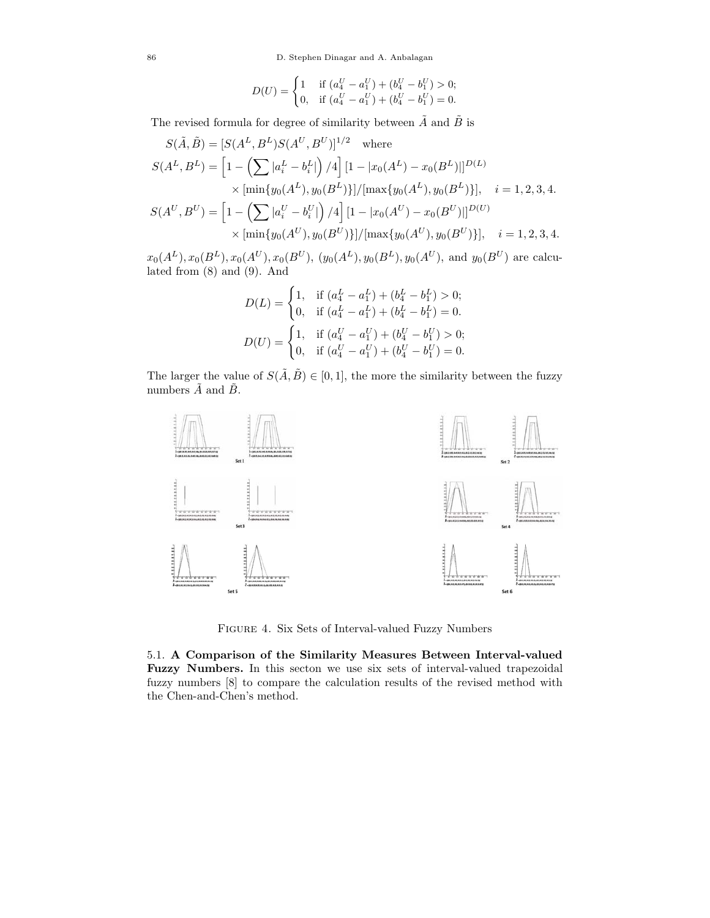$$
D(U) = \begin{cases} 1 & \text{if } (a_4^U - a_1^U) + (b_4^U - b_1^U) > 0; \\ 0 & \text{if } (a_4^U - a_1^U) + (b_4^U - b_1^U) = 0. \end{cases}
$$

The revised formula for degree of similarity between  $\tilde{A}$  and  $\tilde{B}$  is

$$
S(\tilde{A}, \tilde{B}) = [S(A^L, B^L)S(A^U, B^U)]^{1/2} \text{ where}
$$
  
\n
$$
S(A^L, B^L) = \left[1 - \left(\sum |a_i^L - b_i^L|\right)/4\right] [1 - |x_0(A^L) - x_0(B^L)||^{D(L)}
$$
  
\n
$$
\times \left[\min\{y_0(A^L), y_0(B^L)\}\right]/\left[\max\{y_0(A^L), y_0(B^L)\}\right], \quad i = 1, 2, 3, 4.
$$
  
\n
$$
S(A^U, B^U) = \left[1 - \left(\sum |a_i^U - b_i^U|\right)/4\right] [1 - |x_0(A^U) - x_0(B^U)||^{D(U)}
$$
  
\n
$$
\times \left[\min\{y_0(A^U), y_0(B^U)\}\right]/\left[\max\{y_0(A^U), y_0(B^U)\}\right], \quad i = 1, 2, 3, 4.
$$

 $x_0(A^L), x_0(B^L), x_0(A^U), x_0(B^U), (y_0(A^L), y_0(B^L), y_0(A^U), \text{ and } y_0(B^U) \text{ are calcul-}$ lated from (8) and (9). And

$$
D(L) = \begin{cases} 1, & \text{if } (a_4^L - a_1^L) + (b_4^L - b_1^L) > 0; \\ 0, & \text{if } (a_4^L - a_1^L) + (b_4^L - b_1^L) = 0. \end{cases}
$$

$$
D(U) = \begin{cases} 1, & \text{if } (a_4^U - a_1^U) + (b_4^U - b_1^U) > 0; \\ 0, & \text{if } (a_4^U - a_1^U) + (b_4^U - b_1^U) = 0. \end{cases}
$$

The larger the value of  $S(\tilde{A}, \tilde{B}) \in [0, 1]$ , the more the similarity between the fuzzy numbers  $\tilde{A}$  and  $\tilde{B}$ .



Figure 4. Six Sets of Interval-valued Fuzzy Numbers

5.1. **A Comparison of the Similarity Measures Between Interval-valued Fuzzy Numbers.** In this secton we use six sets of interval-valued trapezoidal fuzzy numbers [8] to compare the calculation results of the revised method with the Chen-and-Chen's method.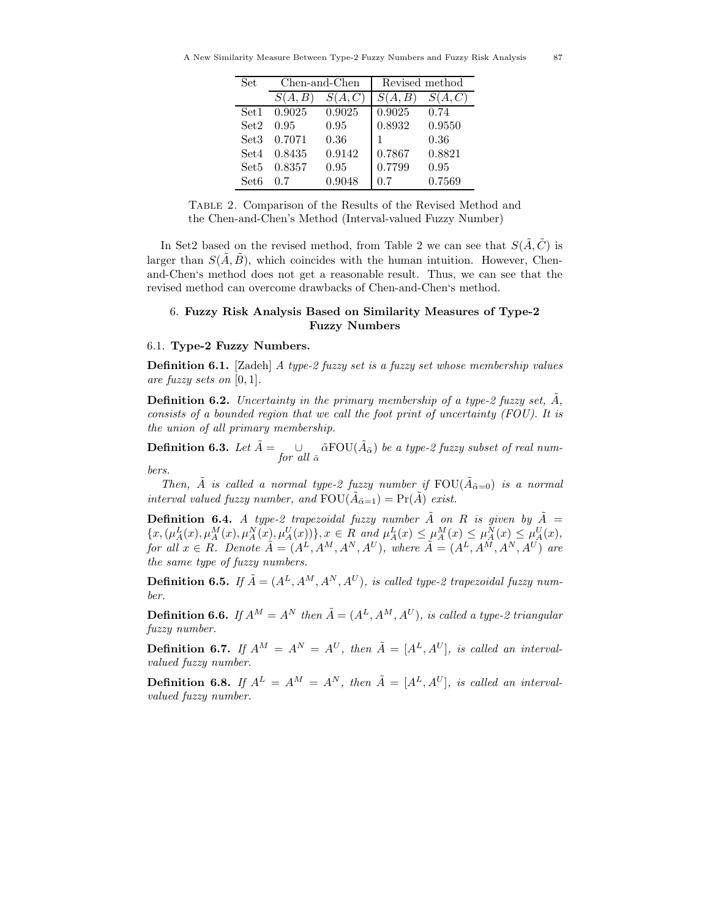| Set              |         | Chen-and-Chen | Revised method |        |  |
|------------------|---------|---------------|----------------|--------|--|
|                  | S(A, B) | S(A, C)       | S(A, B)        | S(A,C) |  |
| Set <sub>1</sub> | 0.9025  | 0.9025        | 0.9025         | 0.74   |  |
| Set2             | 0.95    | 0.95          | 0.8932         | 0.9550 |  |
| Set <sub>3</sub> | 0.7071  | 0.36          |                | 0.36   |  |
| Set4             | 0.8435  | 0.9142        | 0.7867         | 0.8821 |  |
| Set5             | 0.8357  | 0.95          | 0.7799         | 0.95   |  |
| Set <sub>6</sub> | 0.7     | 0.9048        | 0.7            | 0.7569 |  |

Table 2. Comparison of the Results of the Revised Method and the Chen-and-Chen's Method (Interval-valued Fuzzy Number)

In Set2 based on the revised method, from Table 2 we can see that  $S(A, C)$  is larger than  $S(\tilde{A}, \tilde{B})$ , which coincides with the human intuition. However, Chenand-Chen's method does not get a reasonable result. Thus, we can see that the revised method can overcome drawbacks of Chen-and-Chen's method.

## 6. **Fuzzy Risk Analysis Based on Similarity Measures of Type-2 Fuzzy Numbers**

#### 6.1. **Type-2 Fuzzy Numbers.**

**Definition 6.1.** [Zadeh] *A type-2 fuzzy set is a fuzzy set whose membership values are fuzzy sets on* [0, 1]*.*

**Definition 6.2.** *Uncertainty in the primary membership of a type-2 fuzzy set,*  $\tilde{A}$ *, consists of a bounded region that we call the foot print of uncertainty (FOU). It is the union of all primary membership.*

**Definition 6.3.** *Let*  $\tilde{A} = \begin{bmatrix} \cup \end{bmatrix}$  $\cup$   $\tilde{\alpha}$  FOU( $\tilde{A}_{\tilde{\alpha}}$ ) *be a type-2 fuzzy subset of real num-*<br>*for all*  $\tilde{\alpha}$ *bers.*

*Then,*  $\tilde{A}$  *is called a normal type-2 fuzzy number if*  $FOU(\tilde{A}_{\tilde{\alpha}=0})$  *is a normal interval valued fuzzy number, and*  $FOU(\tilde{A}_{\tilde{\alpha}=1}) = Pr(\tilde{A})$  *exist.* 

**Definition 6.4.** *A type-2 trapezoidal fuzzy number*  $\tilde{A}$  *on*  $R$  *is given by*  $\tilde{A}$  =  $\{x, (\mu_A^L(x), \mu_A^M(x), \mu_A^N(x), \mu_A^U(x))\}, x \in R \text{ and } \mu_A^L(x) \leq \mu_A^M(x) \leq \mu_A^N(x) \leq \mu_A^U(x),$ *for all*  $x \in R$ *. Denote*  $\tilde{A} = (A^L, A^M, A^N, A^U)$ *, where*  $\tilde{A} = (A^L, A^M, A^N, A^U)$  *are the same type of fuzzy numbers.*

**Definition 6.5.** If  $\tilde{A} = (A^L, A^M, A^N, A^U)$ , is called type-2 trapezoidal fuzzy num*ber.*

**Definition 6.6.** *If*  $A^M = A^N$  *then*  $\tilde{A} = (A^L, A^M, A^U)$ *, is called a type-2 triangular fuzzy number.*

**Definition 6.7.** *If*  $A^M = A^N = A^U$ *, then*  $\tilde{A} = [A^L, A^U]$ *, is called an intervalvalued fuzzy number.*

**Definition 6.8.** If  $A^L = A^M = A^N$ , then  $\tilde{A} = [A^L, A^U]$ , is called an interval*valued fuzzy number.*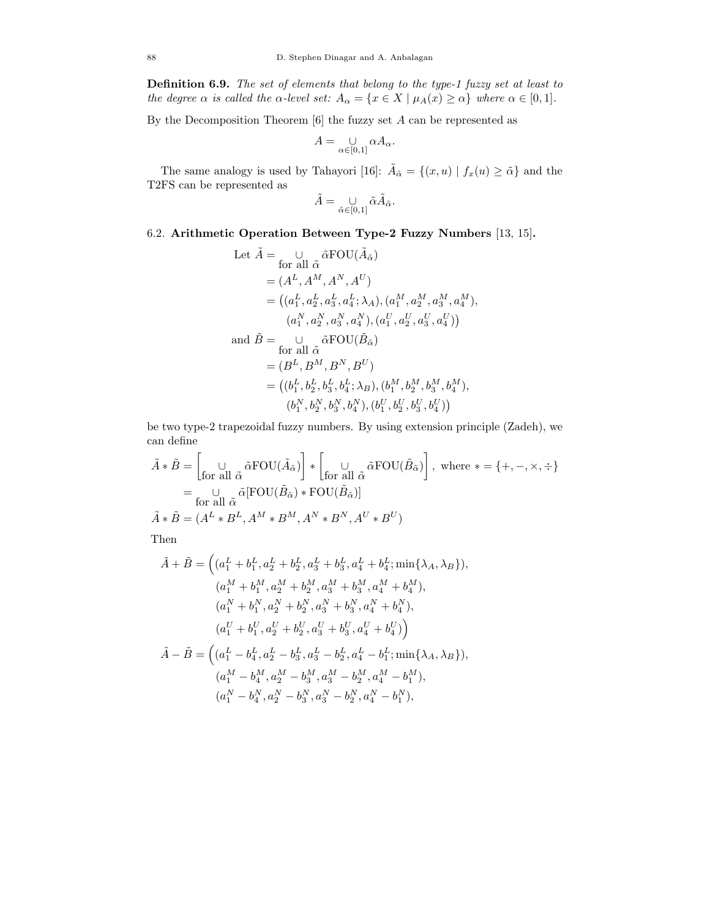**Definition 6.9.** *The set of elements that belong to the type-1 fuzzy set at least to the degree*  $\alpha$  *is called the*  $\alpha$ *-level set:*  $A_{\alpha} = \{x \in X \mid \mu_A(x) \geq \alpha\}$  *where*  $\alpha \in [0, 1]$ *.* 

By the Decomposition Theorem  $[6]$  the fuzzy set  $A$  can be represented as

$$
A=\mathop{\cup}\limits_{\alpha\in[0,1]} \alpha A_\alpha.
$$

The same analogy is used by Tahayori [16]:  $\tilde{A}_{\tilde{\alpha}} = \{(x, u) | f_x(u) \geq \tilde{\alpha}\}\$ and the T2FS can be represented as

$$
\tilde{A} = \bigcup_{\tilde{\alpha} \in [0,1]} \tilde{\alpha} \tilde{A}_{\tilde{\alpha}}.
$$

# 6.2. **Arithmetic Operation Between Type-2 Fuzzy Numbers** [13, 15]**.**

Let 
$$
\tilde{A} = \bigcup_{\text{for all } \tilde{\alpha}} \tilde{\alpha} \text{FOU}(\tilde{A}_{\tilde{\alpha}})
$$
  
\n
$$
= (A^L, A^M, A^N, A^U)
$$
\n
$$
= ((a_1^L, a_2^L, a_3^L, a_4^L; \lambda_A), (a_1^M, a_2^M, a_3^M, a_4^M),
$$
\n
$$
(a_1^N, a_2^N, a_3^N, a_4^N), (a_1^U, a_2^U, a_3^U, a_4^U))
$$
\nand  $\tilde{B} = \bigcup_{\text{for all } \tilde{\alpha}} \tilde{\alpha} \text{FOU}(\tilde{B}_{\tilde{\alpha}})$   
\n
$$
= (B^L, B^M, B^N, B^U)
$$
\n
$$
= ((b_1^L, b_2^L, b_3^L, b_4^L; \lambda_B), (b_1^M, b_2^M, b_3^M, b_4^M),
$$
\n
$$
(b_1^N, b_2^N, b_3^N, b_4^N), (b_1^U, b_2^U, b_3^U, b_4^U))
$$

be two type-2 trapezoidal fuzzy numbers. By using extension principle (Zadeh), we can define

$$
\tilde{A} * \tilde{B} = \begin{bmatrix} \bigcup_{\text{for all } \tilde{\alpha}} \tilde{\alpha} \text{FOU}(\tilde{A}_{\tilde{\alpha}}) \end{bmatrix} * \begin{bmatrix} \bigcup_{\text{for all } \tilde{\alpha}} \tilde{\alpha} \text{FOU}(\tilde{B}_{\tilde{\alpha}}) \end{bmatrix}, \text{ where } * = \{+, -, \times, \div\}
$$
\n
$$
= \bigcup_{\text{for all } \tilde{\alpha}} \tilde{\alpha} \text{[FOU}(\tilde{B}_{\tilde{\alpha}}) * \text{FOU}(\tilde{B}_{\tilde{\alpha}}) \text{]}
$$
\n
$$
\tilde{A} * \tilde{B} = (A^L * B^L, A^M * B^M, A^N * B^N, A^U * B^U)
$$

Then

$$
\tilde{A} + \tilde{B} = \left( (a_1^L + b_1^L, a_2^L + b_2^L, a_3^L + b_3^L, a_4^L + b_4^L; \min\{\lambda_A, \lambda_B\}),
$$
  
\n
$$
(a_1^M + b_1^M, a_2^M + b_2^M, a_3^M + b_3^M, a_4^M + b_4^M),
$$
  
\n
$$
(a_1^N + b_1^N, a_2^N + b_2^N, a_3^N + b_3^N, a_4^N + b_4^N),
$$
  
\n
$$
(a_1^U + b_1^U, a_2^U + b_2^U, a_3^U + b_3^U, a_4^U + b_4^U)
$$
  
\n
$$
\tilde{A} - \tilde{B} = \left( (a_1^L - b_4^L, a_2^L - b_3^L, a_3^L - b_2^L, a_4^L - b_1^L; \min\{\lambda_A, \lambda_B\}),
$$
  
\n
$$
(a_1^M - b_4^M, a_2^M - b_3^M, a_3^M - b_2^M, a_4^M - b_1^M),
$$
  
\n
$$
(a_1^N - b_4^N, a_2^N - b_3^N, a_3^N - b_2^N, a_4^N - b_1^N),
$$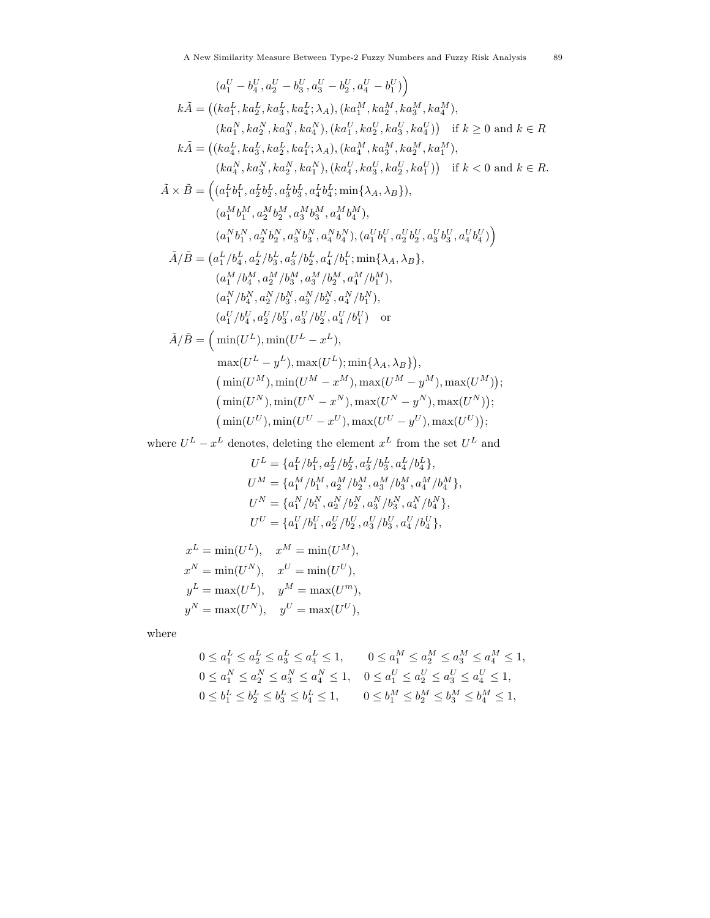$$
(a_1^U - b_4^U, a_2^U - b_3^U, a_3^U - b_2^U, a_4^U - b_1^U)
$$
  
\n
$$
k\tilde{A} = ((ka_1^L, ka_2^L, ka_3^L, ka_4^L; \lambda_A), (ka_1^M, ka_2^M, ka_3^M, ka_4^M),
$$
  
\n
$$
(ka_1^N, ka_2^N, ka_3^N, ka_4^N), (ka_1^U, ka_2^U, ka_3^U, ka_4^U)) \text{ if } k \ge 0 \text{ and } k \in R
$$
  
\n
$$
k\tilde{A} = ((ka_4^L, ka_5^L, ka_2^L, ka_1^L; \lambda_A), (ka_4^M, ka_3^M, ka_2^M, ka_4^M),
$$
  
\n
$$
(ka_4^N, ka_3^N, ka_2^N, ka_1^N), (ka_4^U, ka_3^U, ka_2^U, ka_1^U)) \text{ if } k < 0 \text{ and } k \in R.
$$
  
\n
$$
\tilde{A} \times \tilde{B} = ((a_1^Lb_1^L, a_2^Lb_2^L, a_3^Lb_3^L, a_4^Lb_4^L; \min\{\lambda_A, \lambda_B\}),
$$
  
\n
$$
(a_1^Nb_1^M, a_2^Mb_2^M, a_3^Mb_3^M, a_4^Mb_4^M),
$$
  
\n
$$
(a_1^Nb_1^N, a_2^Nb_2^N, a_3^Nb_3^N, a_4^Nb_3^N), (a_1^Ub_1^U, a_2^Ub_2^U, a_3^Ub_3^U, a_4^Ub_4^U)
$$
  
\n
$$
\tilde{A}/\tilde{B} = (a_1^L/b_4^L, a_2^L/b_3^L, a_3^L/b_2^L, a_4^L/b_1^L; \min\{\lambda_A, \lambda_B\},
$$
  
\n
$$
(a_1^N/b_4^M, a_2^M/b_3^M, a_3^M/b_2^M, a_4^N/b_1^M),
$$
  
\n
$$
(a_1^N/b_4^M, a_2^U/b
$$

where  $U^L - x^L$  denotes, deleting the element  $x^L$  from the set  $U^L$  and

$$
U^{L} = \{a_{1}^{L}/b_{1}^{L}, a_{2}^{L}/b_{2}^{L}, a_{3}^{L}/b_{3}^{L}, a_{4}^{L}/b_{4}^{L}\},\
$$
  
\n
$$
U^{M} = \{a_{1}^{M}/b_{1}^{M}, a_{2}^{M}/b_{2}^{M}, a_{3}^{M}/b_{3}^{M}, a_{4}^{M}/b_{4}^{M}\},\
$$
  
\n
$$
U^{N} = \{a_{1}^{N}/b_{1}^{N}, a_{2}^{N}/b_{2}^{N}, a_{3}^{N}/b_{3}^{N}, a_{4}^{N}/b_{4}^{N}\},\
$$
  
\n
$$
U^{U} = \{a_{1}^{U}/b_{1}^{U}, a_{2}^{U}/b_{2}^{U}, a_{3}^{U}/b_{3}^{U}, a_{4}^{U}/b_{4}^{U}\},\
$$

$$
x^{L} = \min(U^{L}), \quad x^{M} = \min(U^{M}),
$$
  
\n
$$
x^{N} = \min(U^{N}), \quad x^{U} = \min(U^{U}),
$$
  
\n
$$
y^{L} = \max(U^{L}), \quad y^{M} = \max(U^{m}),
$$
  
\n
$$
y^{N} = \max(U^{N}), \quad y^{U} = \max(U^{U}),
$$

where

$$
\begin{aligned} 0 \le a_1^L \le a_2^L \le a_3^L \le a_4^L \le 1, & 0 \le a_1^M \le a_2^M \le a_3^M \le a_4^M \le 1, \\ 0 \le a_1^N \le a_2^N \le a_3^N \le a_4^N \le 1, & 0 \le a_1^U \le a_2^U \le a_3^U \le a_4^U \le 1, \\ 0 \le b_1^L \le b_2^L \le b_3^L \le b_4^L \le 1, & 0 \le b_1^M \le b_2^M \le b_3^M \le b_4^M \le 1, \end{aligned}
$$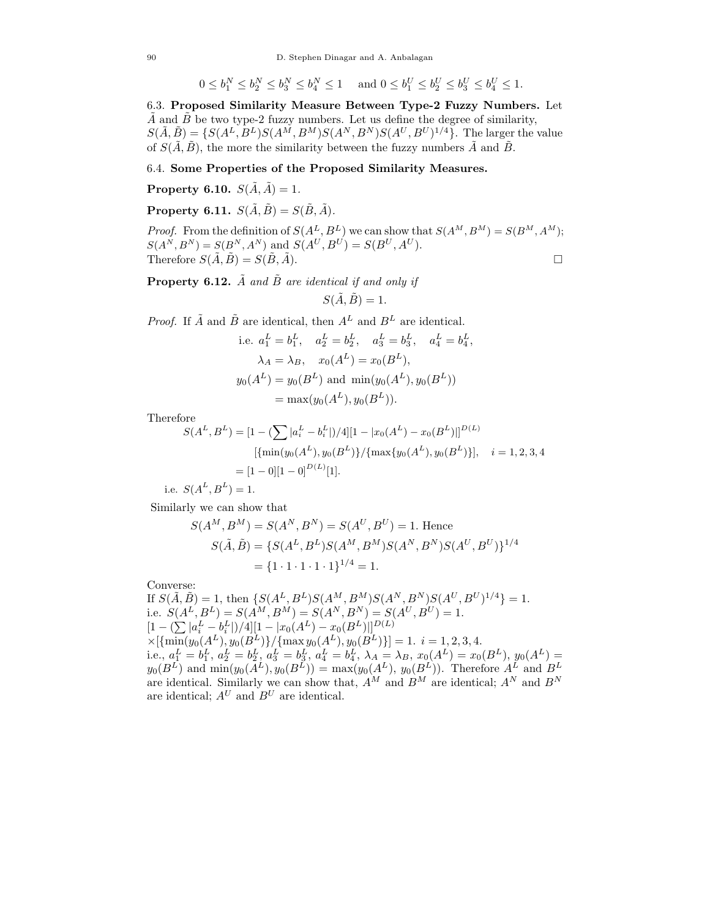$$
0 \le b_1^N \le b_2^N \le b_3^N \le b_4^N \le 1 \quad \text{ and } 0 \le b_1^U \le b_2^U \le b_3^U \le b_4^U \le 1.
$$

6.3. **Proposed Similarity Measure Between Type-2 Fuzzy Numbers.** Let A and B be two type-2 fuzzy numbers. Let us define the degree of similarity,  $S(\tilde{A},\tilde{B}) = \{S(A^L,B^L)S(A^M,B^M)S(A^N,B^N)S(A^U,B^U)^{1/4}\}.$  The larger the value of  $S(\tilde{A}, \tilde{B})$ , the more the similarity between the fuzzy numbers  $\tilde{A}$  and  $\tilde{B}$ .

#### 6.4. **Some Properties of the Proposed Similarity Measures.**

**Property 6.10.**  $S(\tilde{A}, \tilde{A}) = 1$ .

**Property 6.11.**  $S(\tilde{A}, \tilde{B}) = S(\tilde{B}, \tilde{A})$ *.* 

*Proof.* From the definition of  $S(A^L, B^L)$  we can show that  $S(A^M, B^M) = S(B^M, A^M);$  $S(A^{N}, B^{N}) = S(B^{N}, A^{N})$  and  $S(A^{U}, B^{U}) = S(B^{U}, A^{U}).$ Therefore  $S(\tilde{A}, \tilde{B}) = S(\tilde{B}, \tilde{A}).$ 

**Property 6.12.**  $\tilde{A}$  *and*  $\tilde{B}$  *are identical if and only if* 

$$
S(\tilde{A}, \tilde{B}) = 1.
$$

*Proof.* If  $\tilde{A}$  and  $\tilde{B}$  are identical, then  $A^L$  and  $B^L$  are identical.

i.e. 
$$
a_1^L = b_1^L
$$
,  $a_2^L = b_2^L$ ,  $a_3^L = b_3^L$ ,  $a_4^L = b_4^L$ ,  
\n $\lambda_A = \lambda_B$ ,  $x_0(A^L) = x_0(B^L)$ ,  
\n $y_0(A^L) = y_0(B^L)$  and  $\min(y_0(A^L), y_0(B^L))$   
\n $= \max(y_0(A^L), y_0(B^L))$ .

Therefore

$$
S(A^L, B^L) = [1 - (\sum |a_i^L - b_i^L|)/4][1 - |x_0(A^L) - x_0(B^L)||^{D(L)}
$$
  
 
$$
[\{\min(y_0(A^L), y_0(B^L)\}/{\max\{y_0(A^L), y_0(B^L)\}}], \quad i = 1, 2, 3, 4
$$
  

$$
= [1 - 0][1 - 0]^{D(L)}[1].
$$

i.e.  $S(A^L, B^L)=1$ .

Similarly we can show that

$$
S(A^M, B^M) = S(A^N, B^N) = S(A^U, B^U) = 1.
$$
 Hence  
\n
$$
S(\tilde{A}, \tilde{B}) = \{S(A^L, B^L)S(A^M, B^M)S(A^N, B^N)S(A^U, B^U)\}^{1/4}
$$
  
\n
$$
= \{1 \cdot 1 \cdot 1 \cdot 1\}^{1/4} = 1.
$$

Converse:

If  $S(\tilde{A}, \tilde{B}) = 1$ , then  $\{S(A^L, B^L)S(A^M, B^M)S(A^N, B^N)S(A^U, B^U)^{1/4}\} = 1$ . i.e.  $S(A^L, B^L) = S(A^M, B^M) = S(A^N, B^N) = S(A^U, B^U) = 1.$  $[1 - (\sum |a_i^L - b_i^L|)/4][1 - |x_0(A^L) - x_0(B^L)|]^{D(L)}$  $\times [\{\min(y_0(A^L), y_0(B^L)\}/{\max y_0(A^L), y_0(B^L)}]=1.$   $i=1,2,3,4.$ i.e.,  $a_1^L = b_1^L$ ,  $a_2^L = b_2^L$ ,  $a_3^L = b_3^L$ ,  $a_4^L = b_4^L$ ,  $\lambda_A = \lambda_B$ ,  $x_0(A^L) = x_0(B^L)$ ,  $y_0(A^L) =$  $y_0(B^L)$  and  $\min(y_0(\overline{A}^L), y_0(\overline{B}^L)) = \max(y_0(A^L), y_0(\overline{B}^L))$ . Therefore  $A^L$  and  $B^L$ are identical. Similarly we can show that,  $A^M$  and  $B^M$  are identical;  $A^N$  and  $B^N$ are identical;  $A^U$  and  $B^U$  are identical.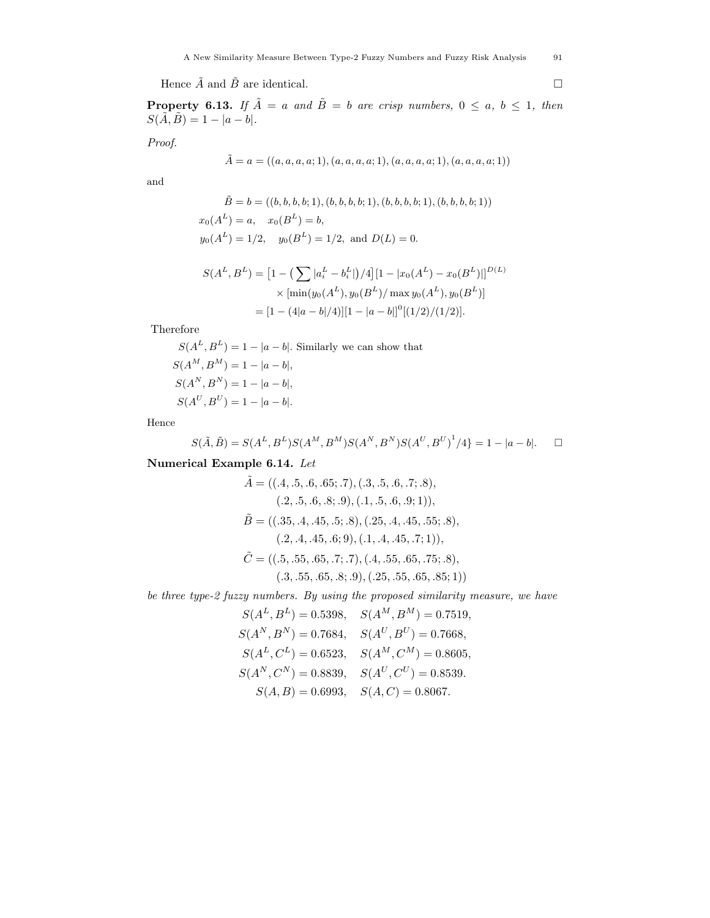Hence  $\tilde{A}$  and  $\tilde{B}$  are identical.

**Property 6.13.** *If*  $\tilde{A} = a$  *and*  $\tilde{B} = b$  *are crisp numbers,*  $0 \le a, b \le 1$ *, then*  $S(\tilde{A}, \tilde{B}) = 1 - |a - b|$ .

*Proof.*

$$
\tilde{A} = a = ((a, a, a, a; 1), (a, a, a, a; 1), (a, a, a, a; 1), (a, a, a, a; 1))
$$

and

$$
\tilde{B} = b = ((b, b, b, b; 1), (b, b, b, b; 1), (b, b, b, b; 1), (b, b, b, b; 1))
$$
  

$$
x_0(A^L) = a, \quad x_0(B^L) = b,
$$
  

$$
y_0(A^L) = 1/2, \quad y_0(B^L) = 1/2, \text{ and } D(L) = 0.
$$

$$
S(A^L, B^L) = [1 - (\sum |a_i^L - b_i^L|)/4][1 - |x_0(A^L) - x_0(B^L)||^{D(L)}
$$
  
 
$$
\times [\min(y_0(A^L), y_0(B^L)/\max y_0(A^L), y_0(B^L)]
$$
  
= [1 - (4|a - b|/4)][1 - |a - b|]<sup>0</sup>[(1/2)/(1/2)].

Therefore

 $S(A^L, B^L) = 1 - |a - b|$ . Similarly we can show that  $S(A^M, B^M) = 1 - |a - b|$ ,  $S(A^N, B^N) = 1 - |a - b|$ ,  $S(A^U, B^U) = 1 - |a - b|$ .

Hence

$$
S(\tilde{A}, \tilde{B}) = S(A^L, B^L)S(A^M, B^M)S(A^N, B^N)S(A^U, B^U)^{1}/4 = 1 - |a - b|.
$$

# **Numerical Example 6.14.** *Let*

$$
\tilde{A} = ((.4, .5, .6, .65; .7), (.3, .5, .6, .7; .8),(.2, .5, .6, .8; .9), (.1, .5, .6, .9; 1)),
$$
\tilde{B} = ((.35, .4, .45, .5; .8), (.25, .4, .45, .55; .8),(.2, .4, .45, .6; 9), (.1, .4, .45, .7; 1)),
$$
\tilde{C} = ((.5, .55, .65, .7; .7), (.4, .55, .65, .75; .8),(.3, .55, .65, .8; .9), (.25, .55, .65, .85; 1))
$$
$$
$$

*be three type-2 fuzzy numbers. By using the proposed similarity measure, we have*

 $S(A^L, B^L)=0.5398, \quad S(A^M, B^M)=0.7519,$  $S(A^N, B^N) = 0.7684, \quad S(A^U, B^U) = 0.7668,$  $S(A^L, C^L)=0.6523, \quad S(A^M, C^M)=0.8605,$  $S(A^N, C^N) = 0.8839, \quad S(A^U, C^U) = 0.8539.$  $S(A, B) = 0.6993, \quad S(A, C) = 0.8067.$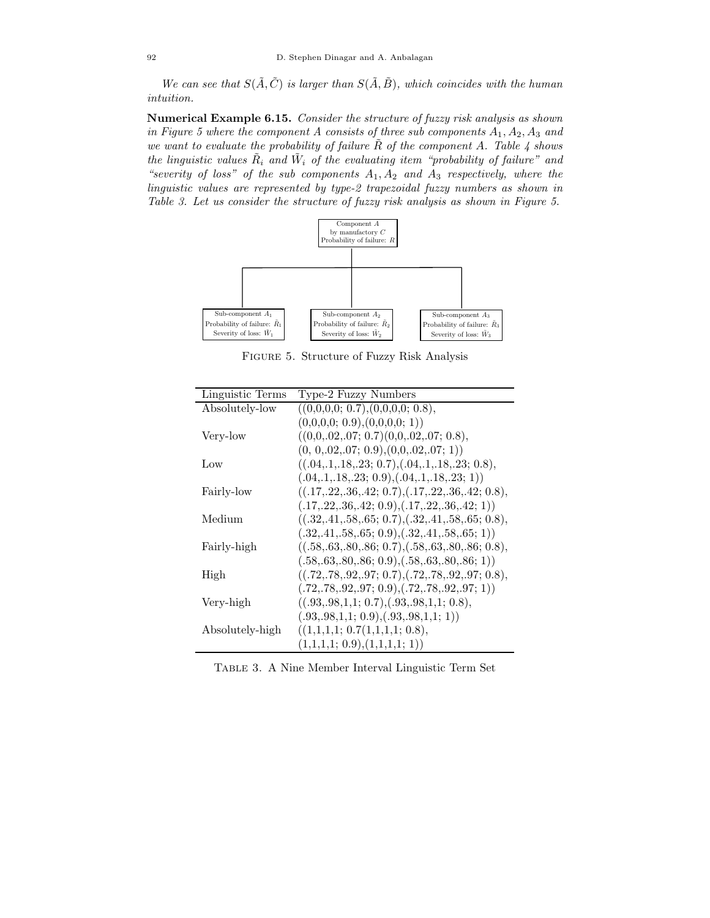*We can see that*  $S(\tilde{A}, \tilde{C})$  *is larger than*  $S(\tilde{A}, \tilde{B})$ *, which coincides with the human intuition.*

**Numerical Example 6.15.** *Consider the structure of fuzzy risk analysis as shown in Figure 5 where the component* A consists of three sub components  $A_1$ ,  $A_2$ ,  $A_3$  and *we want to evaluate the probability of failure*  $\tilde{R}$  *of the component* A. Table  $\ddot{A}$  shows *the linguistic values*  $\tilde{R}_i$  *and*  $\tilde{W}_i$  *of the evaluating item "probability of failure" and "severity of loss" of the sub components* A1, A<sup>2</sup> *and* A<sup>3</sup> *respectively, where the linguistic values are represented by type-2 trapezoidal fuzzy numbers as shown in Table 3. Let us consider the structure of fuzzy risk analysis as shown in Figure 5.*



Figure 5. Structure of Fuzzy Risk Analysis

| Linguistic Terms | Type-2 Fuzzy Numbers                                     |
|------------------|----------------------------------------------------------|
| Absolutely-low   | ((0,0,0,0; 0.7), (0,0,0,0; 0.8),                         |
|                  | (0,0,0,0; 0.9), (0,0,0,0; 1))                            |
| Very-low         | $((0,0,0.02,0.07; 0.7)(0,0,0.02,0.07; 0.8)),$            |
|                  | $(0, 0, 02, 07; 0.9), (0, 0, 02, 07; 1))$                |
| Low              | $((.04, .1, .18, .23; 0.7), (.04, .1, .18, .23; 0.8),$   |
|                  | $(.04, .1, .18, .23; 0.9), (.04, .1, .18, .23; 1))$      |
| Fairly-low       | $((.17, .22, .36, .42; 0.7), (.17, .22, .36, .42; 0.8),$ |
|                  | $(.17, .22, .36, .42; 0.9), (.17, .22, .36, .42; 1))$    |
| Medium           | $((.32, .41, .58, .65; 0.7), (.32, .41, .58, .65; 0.8),$ |
|                  | $(.32, .41, .58, .65; 0.9), (.32, .41, .58, .65; 1))$    |
| Fairly-high      | $((.58, .63, .80, .86; 0.7), (.58, .63, .80, .86; 0.8),$ |
|                  | $(.58, .63, .80, .86; 0.9), (.58, .63, .80, .86; 1))$    |
| High             | $((.72, .78, .92, .97, 0.7), (.72, .78, .92, .97, 0.8),$ |
|                  | $(.72,.78,.92,.97; 0.9), (.72,.78,.92,.97; 1))$          |
| Very-high        | $((.93, .98, 1, 1; 0.7), (.93, .98, 1, 1; 0.8),$         |
|                  | $(.93, .98, 1, 1; 0.9), (.93, .98, 1, 1; 1))$            |
| Absolutely-high  | ((1,1,1,1; 0.7(1,1,1,1; 0.8)),                           |
|                  | (1,1,1,1; 0.9), (1,1,1,1; 1))                            |

Table 3. A Nine Member Interval Linguistic Term Set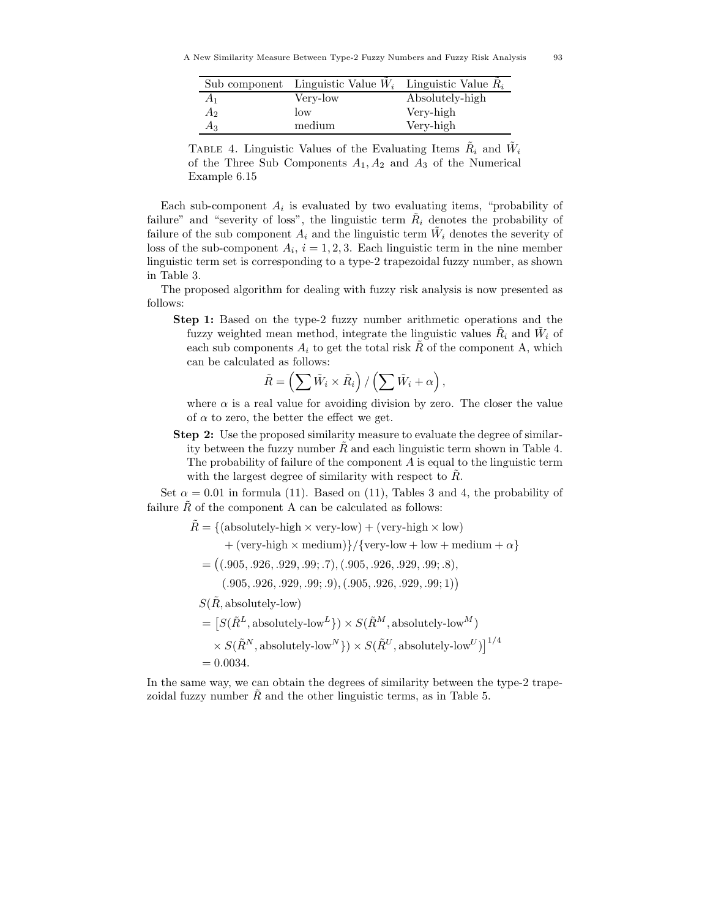|                | Sub component Linguistic Value $W_i$ Linguistic Value $R_i$ |                 |
|----------------|-------------------------------------------------------------|-----------------|
| A <sub>1</sub> | Very-low                                                    | Absolutely-high |
| A <sub>2</sub> | $\log$                                                      | Very-high       |
| $A_3$          | medium                                                      | Very-high       |

TABLE 4. Linguistic Values of the Evaluating Items  $\ddot{R}_i$  and  $\ddot{W}_i$ of the Three Sub Components  $A_1, A_2$  and  $A_3$  of the Numerical Example 6.15

Each sub-component  $A_i$  is evaluated by two evaluating items, "probability of failure" and "severity of loss", the linguistic term  $R_i$  denotes the probability of failure of the sub component  $A_i$  and the linguistic term  $W_i$  denotes the severity of loss of the sub-component  $A_i$ ,  $i = 1, 2, 3$ . Each linguistic term in the nine member linguistic term set is corresponding to a type-2 trapezoidal fuzzy number, as shown in Table 3.

The proposed algorithm for dealing with fuzzy risk analysis is now presented as follows:

**Step 1:** Based on the type-2 fuzzy number arithmetic operations and the fuzzy weighted mean method, integrate the linguistic values  $R_i$  and  $W_i$  of each sub components  $A_i$  to get the total risk R of the component A, which can be calculated as follows:

$$
\tilde{R} = \left(\sum \tilde{W}_i \times \tilde{R}_i\right) / \left(\sum \tilde{W}_i + \alpha\right),\
$$

where  $\alpha$  is a real value for avoiding division by zero. The closer the value of  $\alpha$  to zero, the better the effect we get.

**Step 2:** Use the proposed similarity measure to evaluate the degree of similarity between the fuzzy number  $\bar{R}$  and each linguistic term shown in Table 4. The probability of failure of the component  $A$  is equal to the linguistic term with the largest degree of similarity with respect to  $R$ .

Set  $\alpha = 0.01$  in formula (11). Based on (11), Tables 3 and 4, the probability of failure  $\tilde{R}$  of the component A can be calculated as follows:

 $\tilde{R} = \{(\text{absolutely-high} \times \text{very-low}) + (\text{very-high} \times \text{low})\}$ + (very-high  $\times$  medium)}/{very-low + low + medium +  $\alpha$ }  $= ((.905, .926, .929, .99, .7), (.905, .926, .929, .99, .8),$  $(.905, .926, .929, .99; .9), (.905, .926, .929, .99; 1))$  $S(\tilde{R}, \text{absolutely-low})$  $= [S(\tilde{R}^L, \text{absolutely-low}^L]) \times S(\tilde{R}^M, \text{absolutely-low}^M)$  $\times S(\tilde{R}^N, \text{absolutely-low}^N\}) \times S(\tilde{R}^U, \text{absolutely-low}^U)\big]^{1/4}$  $= 0.0034.$ 

In the same way, we can obtain the degrees of similarity between the type-2 trapezoidal fuzzy number  $\tilde{R}$  and the other linguistic terms, as in Table 5.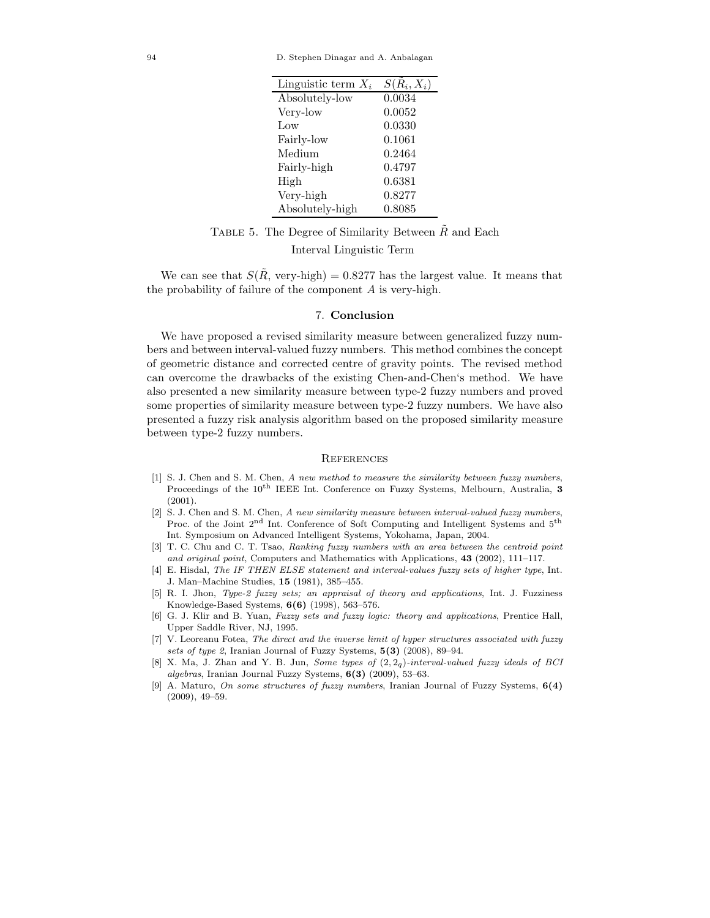| Linguistic term $X_i$ | $S(R_i, X_i)$ |
|-----------------------|---------------|
| Absolutely-low        | 0.0034        |
| Very-low              | 0.0052        |
| $L_{\rm{OW}}$         | 0.0330        |
| Fairly-low            | 0.1061        |
| Medium                | 0.2464        |
| Fairly-high           | 0.4797        |
| High                  | 0.6381        |
| Very-high             | 0.8277        |
| Absolutely-high       | 0.8085        |

TABLE 5. The Degree of Similarity Between  $\tilde{R}$  and Each

#### Interval Linguistic Term

We can see that  $S(R, \text{very-high}) = 0.8277$  has the largest value. It means that the probability of failure of the component A is very-high.

#### 7. **Conclusion**

We have proposed a revised similarity measure between generalized fuzzy numbers and between interval-valued fuzzy numbers. This method combines the concept of geometric distance and corrected centre of gravity points. The revised method can overcome the drawbacks of the existing Chen-and-Chen's method. We have also presented a new similarity measure between type-2 fuzzy numbers and proved some properties of similarity measure between type-2 fuzzy numbers. We have also presented a fuzzy risk analysis algorithm based on the proposed similarity measure between type-2 fuzzy numbers.

#### **REFERENCES**

- [1] S. J. Chen and S. M. Chen, A new method to measure the similarity between fuzzy numbers, Proceedings of the 10th IEEE Int. Conference on Fuzzy Systems, Melbourn, Australia, **3** (2001).
- [2] S. J. Chen and S. M. Chen, A new similarity measure between interval-valued fuzzy numbers, Proc. of the Joint 2<sup>nd</sup> Int. Conference of Soft Computing and Intelligent Systems and 5<sup>th</sup> Int. Symposium on Advanced Intelligent Systems, Yokohama, Japan, 2004.
- [3] T. C. Chu and C. T. Tsao, Ranking fuzzy numbers with an area between the centroid point and original point, Computers and Mathematics with Applications, **43** (2002), 111–117.
- [4] E. Hisdal, The IF THEN ELSE statement and interval-values fuzzy sets of higher type, Int. J. Man–Machine Studies, **15** (1981), 385–455.
- [5] R. I. Jhon, Type-2 fuzzy sets; an appraisal of theory and applications, Int. J. Fuzziness Knowledge-Based Systems, **6(6)** (1998), 563–576.
- [6] G. J. Klir and B. Yuan, Fuzzy sets and fuzzy logic: theory and applications, Prentice Hall, Upper Saddle River, NJ, 1995.
- [7] V. Leoreanu Fotea, The direct and the inverse limit of hyper structures associated with fuzzy sets of type 2, Iranian Journal of Fuzzy Systems, **5(3)** (2008), 89–94.
- [8] X. Ma, J. Zhan and Y. B. Jun, Some types of (2*,* 2*q*)-interval-valued fuzzy ideals of BCI algebras, Iranian Journal Fuzzy Systems, **6(3)** (2009), 53–63.
- [9] A. Maturo, On some structures of fuzzy numbers, Iranian Journal of Fuzzy Systems, **6(4)** (2009), 49–59.